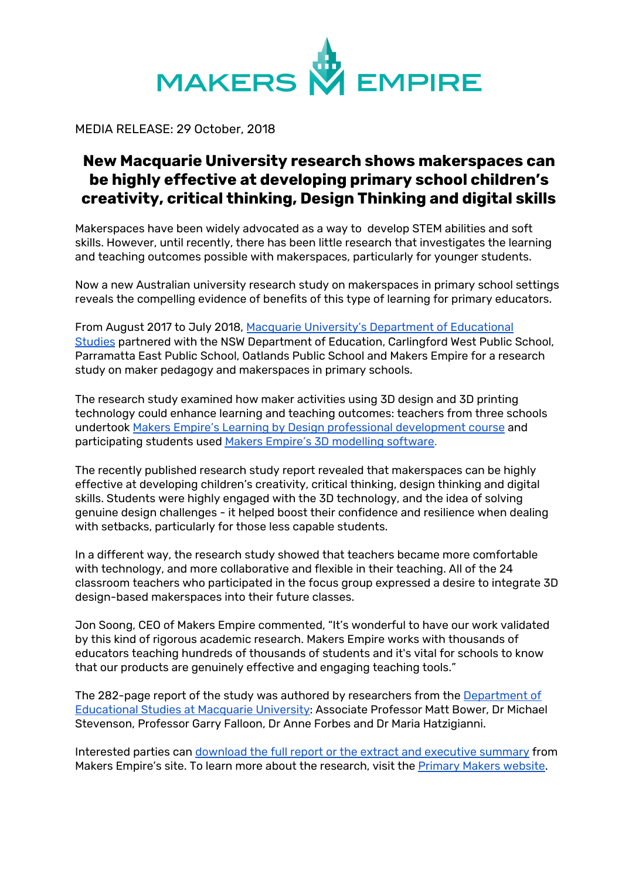

MEDIA RELEASE: 29 October, 2018

# **New Macquarie University research shows makerspaces can be highly effective at developing primary school children's creativity, critical thinking, Design Thinking and digital skills**

Makerspaces have been widely advocated as a way to develop STEM abilities and soft skills. However, until recently, there has been little research that investigates the learning and teaching outcomes possible with makerspaces, particularly for younger students.

Now a new Australian university research study on makerspaces in primary school settings reveals the compelling evidence of benefits of this type of learning for primary educators.

From August 2017 to July 2018, Macquarie University's [Department](https://www.mq.edu.au/about/about-the-university/faculties-and-departments/faculty-of-human-sciences/departments-and-centres/department-of-educational-studies) of Educational [Studies](https://www.mq.edu.au/about/about-the-university/faculties-and-departments/faculty-of-human-sciences/departments-and-centres/department-of-educational-studies) partnered with the NSW Department of Education, Carlingford West Public School, Parramatta East Public School, Oatlands Public School and Makers Empire for a research study on maker pedagogy and makerspaces in primary schools.

The research study examined how maker activities using 3D design and 3D printing technology could enhance learning and teaching outcomes: teachers from three schools undertook Makers Empire's Learning by Design professional [development](https://www.makersempire.com/learning-by-design-course-3d-printing-in-groups-primary-schools/) course and participating students used Makers Empire's 3D [modelling](https://www.makersempire.com/download) software.

The recently published research study report revealed that makerspaces can be highly effective at developing children's creativity, critical thinking, design thinking and digital skills. Students were highly engaged with the 3D technology, and the idea of solving genuine design challenges - it helped boost their confidence and resilience when dealing with setbacks, particularly for those less capable students.

In a different way, the research study showed that teachers became more comfortable with technology, and more collaborative and flexible in their teaching. All of the 24 classroom teachers who participated in the focus group expressed a desire to integrate 3D design-based makerspaces into their future classes.

Jon Soong, CEO of Makers Empire commented, "It's wonderful to have our work validated by this kind of rigorous academic research. Makers Empire works with thousands of educators teaching hundreds of thousands of students and it's vital for schools to know that our products are genuinely effective and engaging teaching tools."

The 282-page report of the study was authored by researchers from the [Department](https://www.mq.edu.au/about/about-the-university/faculties-and-departments/faculty-of-human-sciences/departments-and-centres/department-of-educational-studies) of [Educational](https://www.mq.edu.au/about/about-the-university/faculties-and-departments/faculty-of-human-sciences/departments-and-centres/department-of-educational-studies) Studies at Macquarie University: Associate Professor Matt Bower, Dr Michael Stevenson, Professor Garry Falloon, Dr Anne Forbes and Dr Maria Hatzigianni.

Interested parties can download the full report or the extract and [executive](https://www.makersempire.com/makerspaces-school-maker-pedagogy-research-report-macquarie-university/) summary from Makers Empire's site. To learn more about the research, visit the **[Primary](https://primarymakers.com/) Makers website**.